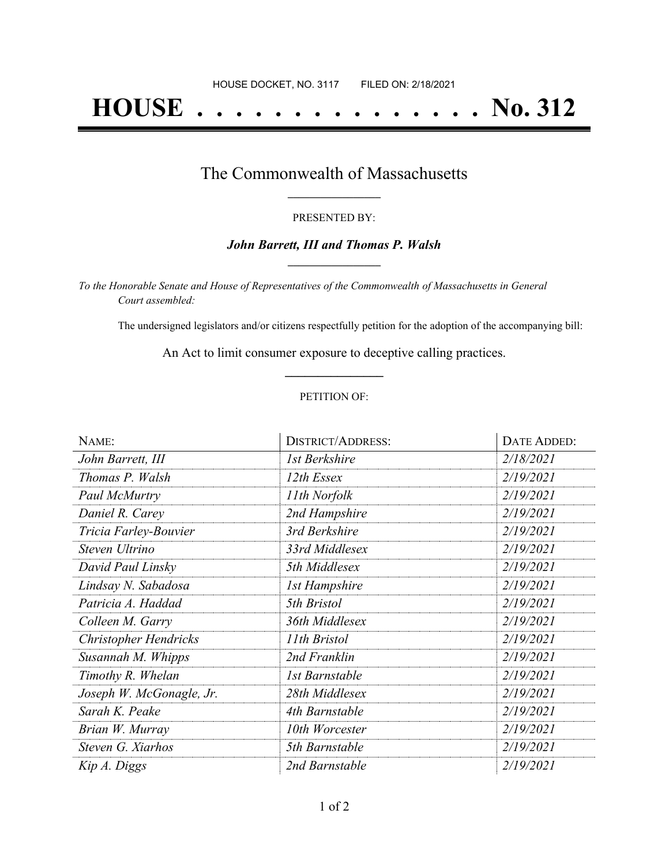# **HOUSE . . . . . . . . . . . . . . . No. 312**

## The Commonwealth of Massachusetts **\_\_\_\_\_\_\_\_\_\_\_\_\_\_\_\_\_**

#### PRESENTED BY:

#### *John Barrett, III and Thomas P. Walsh* **\_\_\_\_\_\_\_\_\_\_\_\_\_\_\_\_\_**

*To the Honorable Senate and House of Representatives of the Commonwealth of Massachusetts in General Court assembled:*

The undersigned legislators and/or citizens respectfully petition for the adoption of the accompanying bill:

An Act to limit consumer exposure to deceptive calling practices. **\_\_\_\_\_\_\_\_\_\_\_\_\_\_\_**

#### PETITION OF:

| NAME:                    | <b>DISTRICT/ADDRESS:</b> | DATE ADDED: |
|--------------------------|--------------------------|-------------|
| John Barrett, III        | 1st Berkshire            | 2/18/2021   |
| Thomas P. Walsh          | 12th Essex               | 2/19/2021   |
| Paul McMurtry            | 11th Norfolk             | 2/19/2021   |
| Daniel R. Carey          | 2nd Hampshire            | 2/19/2021   |
| Tricia Farley-Bouvier    | 3rd Berkshire            | 2/19/2021   |
| Steven Ultrino           | 33rd Middlesex           | 2/19/2021   |
| David Paul Linsky        | 5th Middlesex            | 2/19/2021   |
| Lindsay N. Sabadosa      | <b>1st Hampshire</b>     | 2/19/2021   |
| Patricia A. Haddad       | 5th Bristol              | 2/19/2021   |
| Colleen M. Garry         | 36th Middlesex           | 2/19/2021   |
| Christopher Hendricks    | 11th Bristol             | 2/19/2021   |
| Susannah M. Whipps       | 2nd Franklin             | 2/19/2021   |
| Timothy R. Whelan        | 1st Barnstable           | 2/19/2021   |
| Joseph W. McGonagle, Jr. | 28th Middlesex           | 2/19/2021   |
| Sarah K. Peake           | 4th Barnstable           | 2/19/2021   |
| Brian W. Murray          | 10th Worcester           | 2/19/2021   |
| Steven G. Xiarhos        | 5th Barnstable           | 2/19/2021   |
| Kip A. Diggs             | 2nd Barnstable           | 2/19/2021   |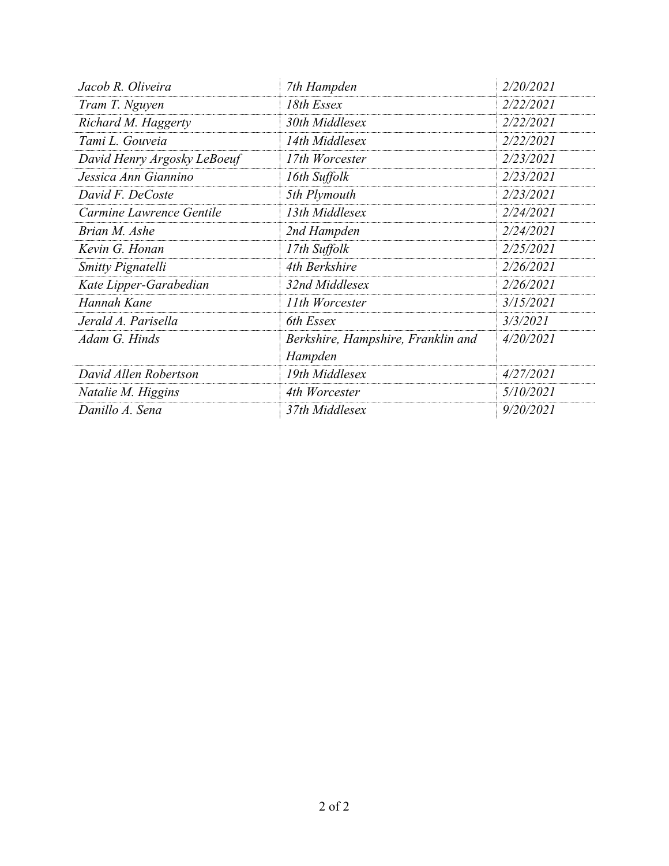| Jacob R. Oliveira           | 7th Hampden                                   | 2/20/2021 |
|-----------------------------|-----------------------------------------------|-----------|
| Tram T. Nguyen              | 18th Essex                                    | 2/22/2021 |
| Richard M. Haggerty         | 30th Middlesex                                | 2/22/2021 |
| Tami L. Gouveia             | 14th Middlesex                                | 2/22/2021 |
| David Henry Argosky LeBoeuf | 17th Worcester                                | 2/23/2021 |
| Jessica Ann Giannino        | 16th Suffolk                                  | 2/23/2021 |
| David F. DeCoste            | 5th Plymouth                                  | 2/23/2021 |
| Carmine Lawrence Gentile    | 13th Middlesex                                | 2/24/2021 |
| Brian M. Ashe               | 2nd Hampden                                   | 2/24/2021 |
| Kevin G. Honan              | 17th Suffolk                                  | 2/25/2021 |
| <b>Smitty Pignatelli</b>    | 4th Berkshire                                 | 2/26/2021 |
| Kate Lipper-Garabedian      | 32nd Middlesex                                | 2/26/2021 |
| Hannah Kane                 | 11th Worcester                                | 3/15/2021 |
| Jerald A. Parisella         | 6th Essex                                     | 3/3/2021  |
| Adam G. Hinds               | Berkshire, Hampshire, Franklin and<br>Hampden | 4/20/2021 |
| David Allen Robertson       | 19th Middlesex                                | 4/27/2021 |
| Natalie M. Higgins          | 4th Worcester                                 | 5/10/2021 |
| Danillo A. Sena             | 37th Middlesex                                | 9/20/2021 |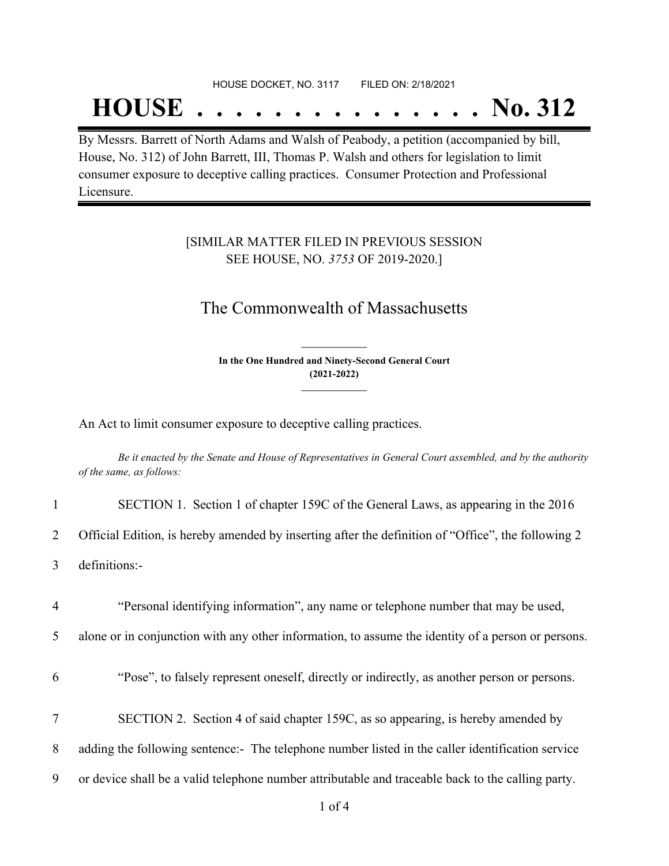#### HOUSE DOCKET, NO. 3117 FILED ON: 2/18/2021

## **HOUSE . . . . . . . . . . . . . . . No. 312**

By Messrs. Barrett of North Adams and Walsh of Peabody, a petition (accompanied by bill, House, No. 312) of John Barrett, III, Thomas P. Walsh and others for legislation to limit consumer exposure to deceptive calling practices. Consumer Protection and Professional Licensure.

### [SIMILAR MATTER FILED IN PREVIOUS SESSION SEE HOUSE, NO. *3753* OF 2019-2020.]

## The Commonwealth of Massachusetts

**In the One Hundred and Ninety-Second General Court (2021-2022) \_\_\_\_\_\_\_\_\_\_\_\_\_\_\_**

**\_\_\_\_\_\_\_\_\_\_\_\_\_\_\_**

An Act to limit consumer exposure to deceptive calling practices.

Be it enacted by the Senate and House of Representatives in General Court assembled, and by the authority *of the same, as follows:*

| $\mathbf{1}$   | SECTION 1. Section 1 of chapter 159C of the General Laws, as appearing in the 2016                 |
|----------------|----------------------------------------------------------------------------------------------------|
| $\overline{2}$ | Official Edition, is hereby amended by inserting after the definition of "Office", the following 2 |
| 3              | definitions:-                                                                                      |
| 4              | "Personal identifying information", any name or telephone number that may be used,                 |
| 5              | alone or in conjunction with any other information, to assume the identity of a person or persons. |
| 6              | "Pose", to falsely represent oneself, directly or indirectly, as another person or persons.        |
| $\tau$         | SECTION 2. Section 4 of said chapter 159C, as so appearing, is hereby amended by                   |
| 8              | adding the following sentence:- The telephone number listed in the caller identification service   |
| 9              | or device shall be a valid telephone number attributable and traceable back to the calling party.  |
|                |                                                                                                    |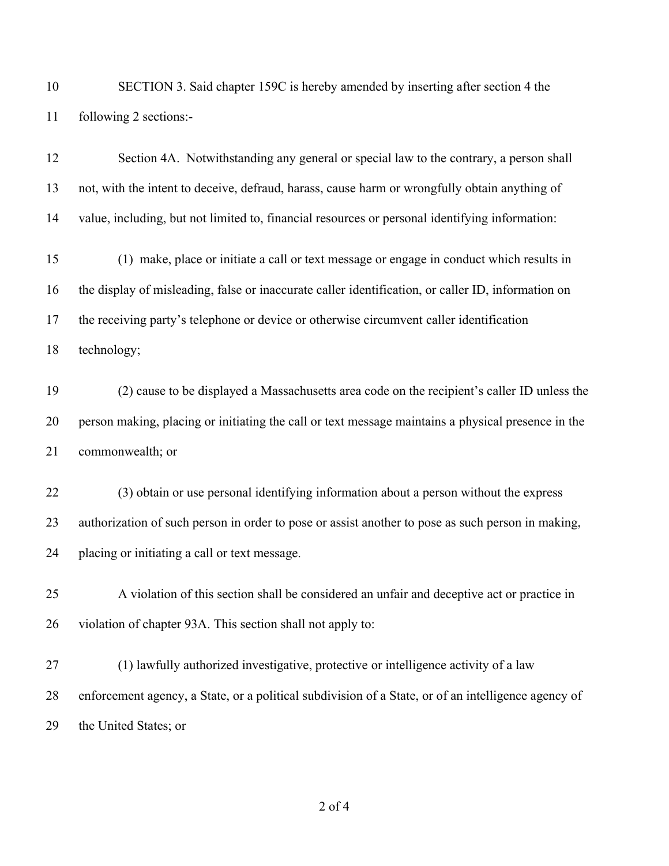SECTION 3. Said chapter 159C is hereby amended by inserting after section 4 the following 2 sections:-

 Section 4A. Notwithstanding any general or special law to the contrary, a person shall not, with the intent to deceive, defraud, harass, cause harm or wrongfully obtain anything of value, including, but not limited to, financial resources or personal identifying information: (1) make, place or initiate a call or text message or engage in conduct which results in the display of misleading, false or inaccurate caller identification, or caller ID, information on the receiving party's telephone or device or otherwise circumvent caller identification technology; (2) cause to be displayed a Massachusetts area code on the recipient's caller ID unless the person making, placing or initiating the call or text message maintains a physical presence in the commonwealth; or (3) obtain or use personal identifying information about a person without the express authorization of such person in order to pose or assist another to pose as such person in making, placing or initiating a call or text message. A violation of this section shall be considered an unfair and deceptive act or practice in violation of chapter 93A. This section shall not apply to: (1) lawfully authorized investigative, protective or intelligence activity of a law enforcement agency, a State, or a political subdivision of a State, or of an intelligence agency of

the United States; or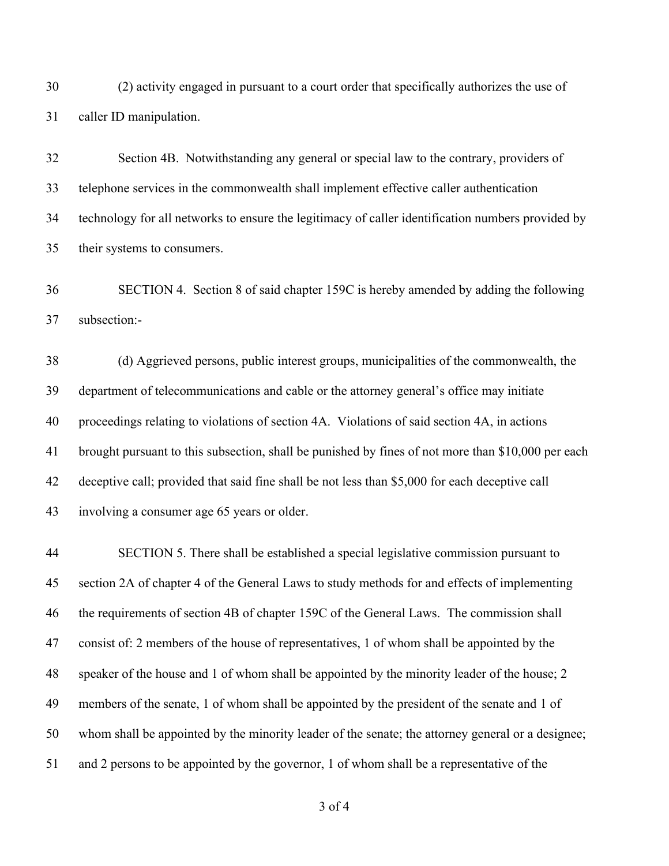(2) activity engaged in pursuant to a court order that specifically authorizes the use of caller ID manipulation.

 Section 4B. Notwithstanding any general or special law to the contrary, providers of telephone services in the commonwealth shall implement effective caller authentication technology for all networks to ensure the legitimacy of caller identification numbers provided by their systems to consumers.

 SECTION 4. Section 8 of said chapter 159C is hereby amended by adding the following subsection:-

 (d) Aggrieved persons, public interest groups, municipalities of the commonwealth, the department of telecommunications and cable or the attorney general's office may initiate proceedings relating to violations of section 4A. Violations of said section 4A, in actions brought pursuant to this subsection, shall be punished by fines of not more than \$10,000 per each deceptive call; provided that said fine shall be not less than \$5,000 for each deceptive call involving a consumer age 65 years or older.

 SECTION 5. There shall be established a special legislative commission pursuant to section 2A of chapter 4 of the General Laws to study methods for and effects of implementing the requirements of section 4B of chapter 159C of the General Laws. The commission shall consist of: 2 members of the house of representatives, 1 of whom shall be appointed by the speaker of the house and 1 of whom shall be appointed by the minority leader of the house; 2 members of the senate, 1 of whom shall be appointed by the president of the senate and 1 of whom shall be appointed by the minority leader of the senate; the attorney general or a designee; and 2 persons to be appointed by the governor, 1 of whom shall be a representative of the

of 4